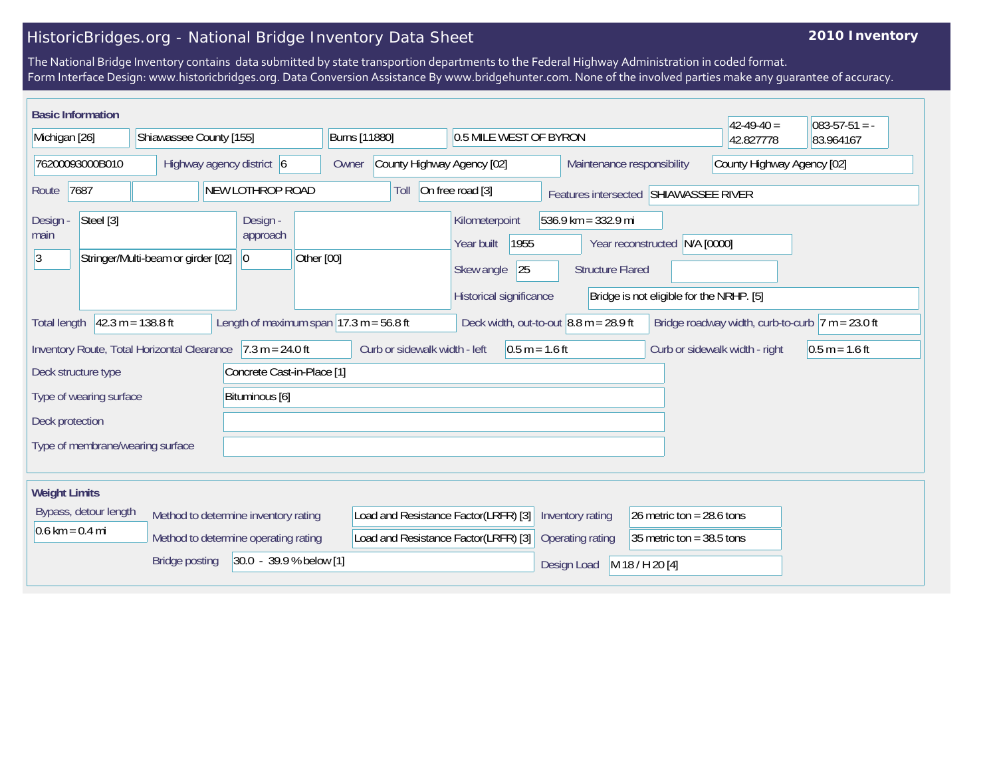## HistoricBridges.org - National Bridge Inventory Data Sheet

## **2010 Inventory**

The National Bridge Inventory contains data submitted by state transportion departments to the Federal Highway Administration in coded format. Form Interface Design: www.historicbridges.org. Data Conversion Assistance By www.bridgehunter.com. None of the involved parties make any guarantee of accuracy.

| <b>Basic Information</b>                                                                                                                                                                                                       |  |                           |            |                                                                                         |                                                                                     |                                     |                                            |                                                                                                                                                                           |                             |             |                                                          |                 |           |  | $42-49-40=$ | $083 - 57 - 51 = -$ |
|--------------------------------------------------------------------------------------------------------------------------------------------------------------------------------------------------------------------------------|--|---------------------------|------------|-----------------------------------------------------------------------------------------|-------------------------------------------------------------------------------------|-------------------------------------|--------------------------------------------|---------------------------------------------------------------------------------------------------------------------------------------------------------------------------|-----------------------------|-------------|----------------------------------------------------------|-----------------|-----------|--|-------------|---------------------|
| Michigan [26]                                                                                                                                                                                                                  |  | Shiawassee County [155]   |            |                                                                                         |                                                                                     | Burns [11880]                       |                                            |                                                                                                                                                                           | 0.5 MILE WEST OF BYRON      |             |                                                          | 42.827778       | 83.964167 |  |             |                     |
| 76200093000B010                                                                                                                                                                                                                |  | Highway agency district 6 |            |                                                                                         |                                                                                     | County Highway Agency [02]<br>Owner |                                            |                                                                                                                                                                           |                             |             | County Highway Agency [02]<br>Maintenance responsibility |                 |           |  |             |                     |
| NEW LOTHROP ROAD<br>7687<br>Route                                                                                                                                                                                              |  |                           |            | On free road [3]<br>Toll<br>Features intersected SHIAWASSEE RIVER                       |                                                                                     |                                     |                                            |                                                                                                                                                                           |                             |             |                                                          |                 |           |  |             |                     |
| Steel [3]<br>Design -<br>Design<br>approach<br>main<br>3<br>Stringer/Multi-beam or girder [02]<br> 0                                                                                                                           |  |                           | Other [00] |                                                                                         |                                                                                     |                                     | Kilometerpoint<br>Year built<br>Skew angle | $536.9$ km = 332.9 mi<br>1955<br>N/A [0000]<br>Year reconstructed<br>25<br><b>Structure Flared</b><br>Historical significance<br>Bridge is not eligible for the NRHP. [5] |                             |             |                                                          |                 |           |  |             |                     |
| $42.3 m = 138.8 ft$<br>Length of maximum span $ 17.3 \text{ m} = 56.8 \text{ ft} $<br>Deck width, out-to-out $ 8.8 \text{ m} = 28.9 \text{ ft} $<br>Bridge roadway width, curb-to-curb $ 7 m = 23.0$ ft<br><b>Total length</b> |  |                           |            |                                                                                         |                                                                                     |                                     |                                            |                                                                                                                                                                           |                             |             |                                                          |                 |           |  |             |                     |
| Inventory Route, Total Horizontal Clearance 7.3 m = 24.0 ft                                                                                                                                                                    |  |                           |            |                                                                                         | Curb or sidewalk width - left<br>$0.5 m = 1.6 ft$<br>Curb or sidewalk width - right |                                     |                                            |                                                                                                                                                                           |                             |             | $0.5 m = 1.6 ft$                                         |                 |           |  |             |                     |
| Concrete Cast-in-Place [1]<br>Deck structure type                                                                                                                                                                              |  |                           |            |                                                                                         |                                                                                     |                                     |                                            |                                                                                                                                                                           |                             |             |                                                          |                 |           |  |             |                     |
| Bituminous [6]<br>Type of wearing surface                                                                                                                                                                                      |  |                           |            |                                                                                         |                                                                                     |                                     |                                            |                                                                                                                                                                           |                             |             |                                                          |                 |           |  |             |                     |
| Deck protection                                                                                                                                                                                                                |  |                           |            |                                                                                         |                                                                                     |                                     |                                            |                                                                                                                                                                           |                             |             |                                                          |                 |           |  |             |                     |
| Type of membrane/wearing surface                                                                                                                                                                                               |  |                           |            |                                                                                         |                                                                                     |                                     |                                            |                                                                                                                                                                           |                             |             |                                                          |                 |           |  |             |                     |
| <b>Weight Limits</b>                                                                                                                                                                                                           |  |                           |            |                                                                                         |                                                                                     |                                     |                                            |                                                                                                                                                                           |                             |             |                                                          |                 |           |  |             |                     |
| Bypass, detour length<br>Method to determine inventory rating                                                                                                                                                                  |  |                           |            | Load and Resistance Factor(LRFR) [3]<br>26 metric ton = $28.6$ tons<br>Inventory rating |                                                                                     |                                     |                                            |                                                                                                                                                                           |                             |             |                                                          |                 |           |  |             |                     |
| $0.6 \text{ km} = 0.4 \text{ mi}$<br>Method to determine operating rating                                                                                                                                                      |  |                           |            | Load and Resistance Factor(LRFR) [3]<br>Operating rating                                |                                                                                     |                                     |                                            |                                                                                                                                                                           | 35 metric ton = $38.5$ tons |             |                                                          |                 |           |  |             |                     |
| 30.0 - 39.9 % below [1]<br><b>Bridge posting</b>                                                                                                                                                                               |  |                           |            |                                                                                         |                                                                                     |                                     |                                            |                                                                                                                                                                           |                             | Design Load |                                                          | M 18 / H 20 [4] |           |  |             |                     |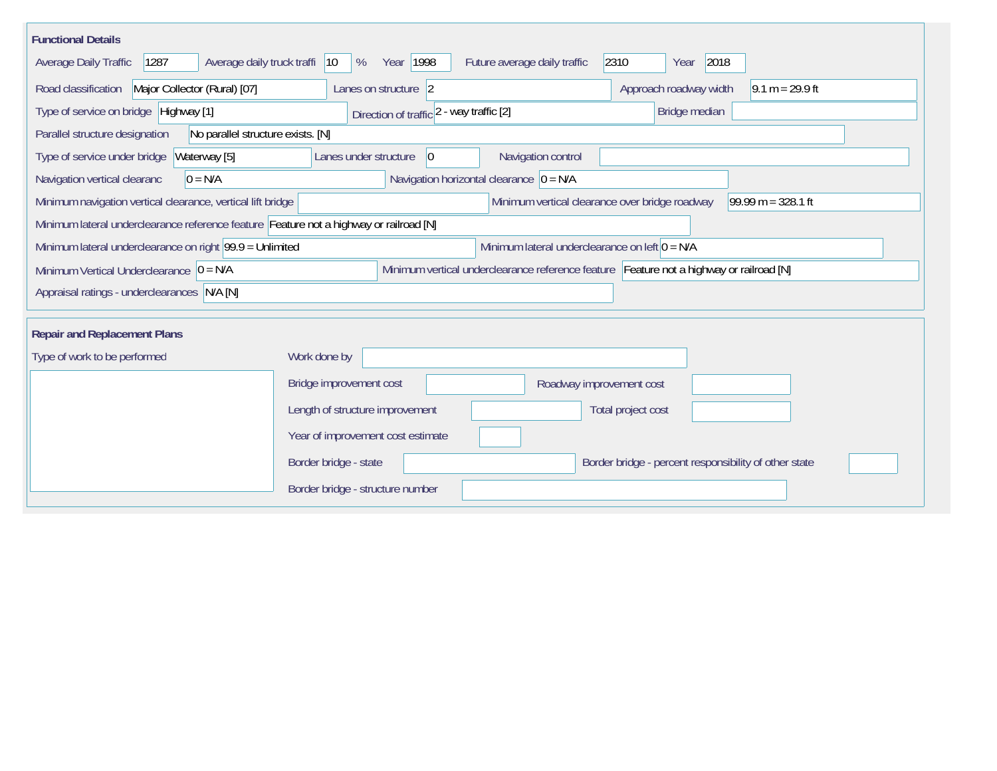| <b>Functional Details</b>                                                              |                                                                                         |                                                                        |  |  |  |  |  |  |
|----------------------------------------------------------------------------------------|-----------------------------------------------------------------------------------------|------------------------------------------------------------------------|--|--|--|--|--|--|
| 1287<br>Average daily truck traffi<br>Average Daily Traffic                            | Year 1998<br>Future average daily traffic<br>$ 10\rangle$<br>%                          | 2310<br>2018<br>Year                                                   |  |  |  |  |  |  |
| Road classification<br>Major Collector (Rural) [07]                                    | Lanes on structure 2                                                                    | Approach roadway width<br>$9.1 m = 29.9 ft$                            |  |  |  |  |  |  |
| Type of service on bridge Highway [1]                                                  | Direction of traffic 2 - way traffic [2]                                                | Bridge median                                                          |  |  |  |  |  |  |
| No parallel structure exists. [N]<br>Parallel structure designation                    |                                                                                         |                                                                        |  |  |  |  |  |  |
| Type of service under bridge<br>Waterway [5]                                           | Navigation control<br>Lanes under structure<br>$ 0\rangle$                              |                                                                        |  |  |  |  |  |  |
| $0 = N/A$<br>Navigation vertical clearanc                                              | Navigation horizontal clearance $ 0 = N/A $                                             |                                                                        |  |  |  |  |  |  |
| Minimum navigation vertical clearance, vertical lift bridge                            |                                                                                         | Minimum vertical clearance over bridge roadway<br>$99.99 m = 328.1 ft$ |  |  |  |  |  |  |
| Minimum lateral underclearance reference feature Feature not a highway or railroad [N] |                                                                                         |                                                                        |  |  |  |  |  |  |
| Minimum lateral underclearance on right $99.9 =$ Unlimited                             | Minimum lateral underclearance on left $0 = N/A$                                        |                                                                        |  |  |  |  |  |  |
| Minimum Vertical Underclearance $ 0 = N/A$                                             | Minimum vertical underclearance reference feature Feature not a highway or railroad [N] |                                                                        |  |  |  |  |  |  |
| Appraisal ratings - underclearances N/A [N]                                            |                                                                                         |                                                                        |  |  |  |  |  |  |
|                                                                                        |                                                                                         |                                                                        |  |  |  |  |  |  |
| <b>Repair and Replacement Plans</b>                                                    |                                                                                         |                                                                        |  |  |  |  |  |  |
| Type of work to be performed                                                           | Work done by                                                                            |                                                                        |  |  |  |  |  |  |
|                                                                                        | Bridge improvement cost                                                                 | Roadway improvement cost                                               |  |  |  |  |  |  |
|                                                                                        | Length of structure improvement                                                         | Total project cost                                                     |  |  |  |  |  |  |
|                                                                                        | Year of improvement cost estimate                                                       |                                                                        |  |  |  |  |  |  |
|                                                                                        | Border bridge - state                                                                   | Border bridge - percent responsibility of other state                  |  |  |  |  |  |  |
|                                                                                        | Border bridge - structure number                                                        |                                                                        |  |  |  |  |  |  |